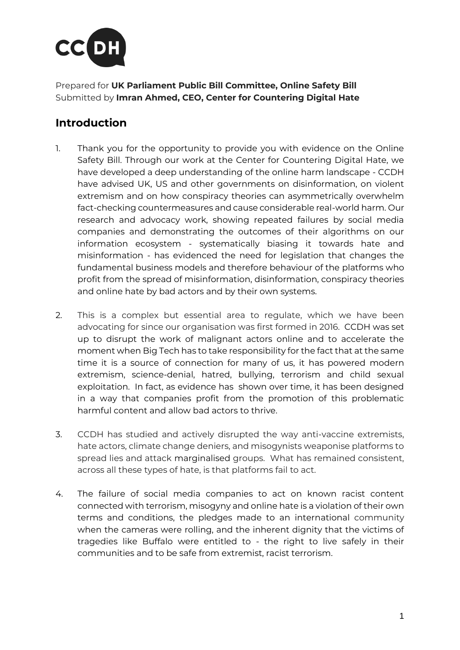

Prepared for **UK Parliament Public Bill Committee, Online Safety Bill** Submitted by **Imran Ahmed, CEO, Center for Countering Digital Hate**

# **Introduction**

- 1. Thank you for the opportunity to provide you with evidence on the Online Safety Bill. Through our work at the Center for Countering Digital Hate, we have developed a deep understanding of the online harm landscape - CCDH have advised UK, US and other governments on disinformation, on violent extremism and on how conspiracy theories can asymmetrically overwhelm fact-checking countermeasures and cause considerable real-world harm. Our research and advocacy work, showing repeated failures by social media companies and demonstrating the outcomes of their algorithms on our information ecosystem - systematically biasing it towards hate and misinformation - has evidenced the need for legislation that changes the fundamental business models and therefore behaviour of the platforms who profit from the spread of misinformation, disinformation, conspiracy theories and online hate by bad actors and by their own systems.
- 2. This is a complex but essential area to regulate, which we have been advocating for since our organisation was first formed in 2016. CCDH was set up to disrupt the work of malignant actors online and to accelerate the moment when Big Tech has to take responsibility for the fact that at the same time it is a source of connection for many of us, it has powered modern extremism, science-denial, hatred, bullying, terrorism and child sexual exploitation. In fact, as evidence has shown over time, it has been designed in a way that companies profit from the promotion of this problematic harmful content and allow bad actors to thrive.
- 3. CCDH has studied and actively disrupted the way anti-vaccine extremists, hate actors, climate change deniers, and misogynists weaponise platforms to spread lies and attack marginalised groups. What has remained consistent, across all these types of hate, is that platforms fail to act.
- 4. The failure of social media companies to act on known racist content connected with terrorism, misogyny and online hate is a violation of their own terms and conditions, the pledges made to an international community when the cameras were rolling, and the inherent dignity that the victims of tragedies like Buffalo were entitled to - the right to live safely in their communities and to be safe from extremist, racist terrorism.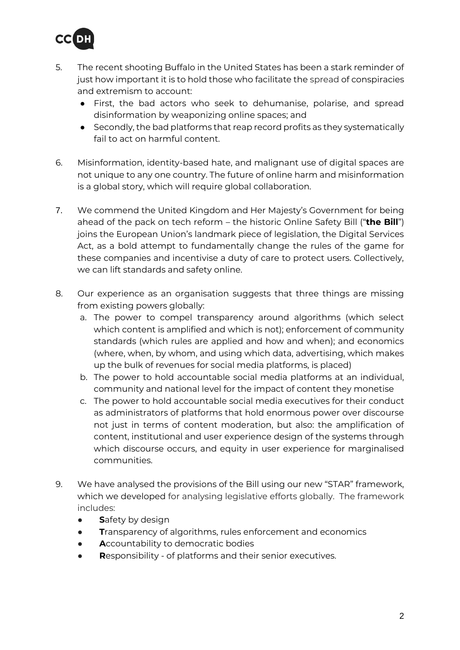

- 5. The recent shooting Buffalo in the United States has been a stark reminder of just how important it is to hold those who facilitate the spread of conspiracies and extremism to account:
	- First, the bad actors who seek to dehumanise, polarise, and spread disinformation by weaponizing online spaces; and
	- Secondly, the bad platforms that reap record profits as they systematically fail to act on harmful content.
- 6. Misinformation, identity-based hate, and malignant use of digital spaces are not unique to any one country. The future of online harm and misinformation is a global story, which will require global collaboration.
- 7. We commend the United Kingdom and Her Majesty's Government for being ahead of the pack on tech reform – the historic Online Safety Bill ("**the Bill**") joins the European Union's landmark piece of legislation, the Digital Services Act, as a bold attempt to fundamentally change the rules of the game for these companies and incentivise a duty of care to protect users. Collectively, we can lift standards and safety online.
- 8. Our experience as an organisation suggests that three things are missing from existing powers globally:
	- a. The power to compel transparency around algorithms (which select which content is amplified and which is not); enforcement of community standards (which rules are applied and how and when); and economics (where, when, by whom, and using which data, advertising, which makes up the bulk of revenues for social media platforms, is placed)
	- b. The power to hold accountable social media platforms at an individual, community and national level for the impact of content they monetise
	- c. The power to hold accountable social media executives for their conduct as administrators of platforms that hold enormous power over discourse not just in terms of content moderation, but also: the amplification of content, institutional and user experience design of the systems through which discourse occurs, and equity in user experience for marginalised communities.
- 9. We have analysed the provisions of the Bill using our new "STAR" framework, which we developed for analysing legislative efforts globally. The framework includes:
	- **Safety by design**
	- **Transparency of algorithms, rules enforcement and economics**
	- Accountability to democratic bodies
	- **Responsibility of platforms and their senior executives.**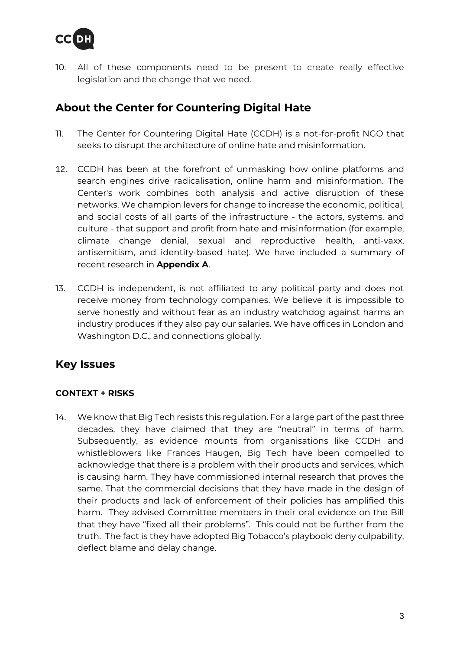

10. All of these components need to be present to create really effective legislation and the change that we need.

# **About the Center for Countering Digital Hate**

- 11. The Center for Countering Digital Hate (CCDH) is a not-for-profit NGO that seeks to disrupt the architecture of online hate and misinformation.
- 12. CCDH has been at the forefront of unmasking how online platforms and search engines drive radicalisation, online harm and misinformation. The Center's work combines both analysis and active disruption of these networks. We champion levers for change to increase the economic, political, and social costs of all parts of the infrastructure - the actors, systems, and culture - that support and profit from hate and misinformation (for example, climate change denial, sexual and reproductive health, anti-vaxx, antisemitism, and identity-based hate). We have included a summary of recent research in **Appendix A**.
- 13. CCDH is independent, is not affiliated to any political party and does not receive money from technology companies. We believe it is impossible to serve honestly and without fear as an industry watchdog against harms an industry produces if they also pay our salaries. We have offices in London and Washington D.C., and connections globally.

# **Key Issues**

# **CONTEXT + RISKS**

14. We know that Big Tech resists this regulation. For a large part of the past three decades, they have claimed that they are "neutral" in terms of harm. Subsequently, as evidence mounts from organisations like CCDH and whistleblowers like Frances Haugen, Big Tech have been compelled to acknowledge that there is a problem with their products and services, which is causing harm. They have commissioned internal research that proves the same. That the commercial decisions that they have made in the design of their products and lack of enforcement of their policies has amplified this harm. They advised Committee members in their oral evidence on the Bill that they have "fixed all their problems". This could not be further from the truth. The fact is they have adopted Big Tobacco's playbook: deny culpability, deflect blame and delay change.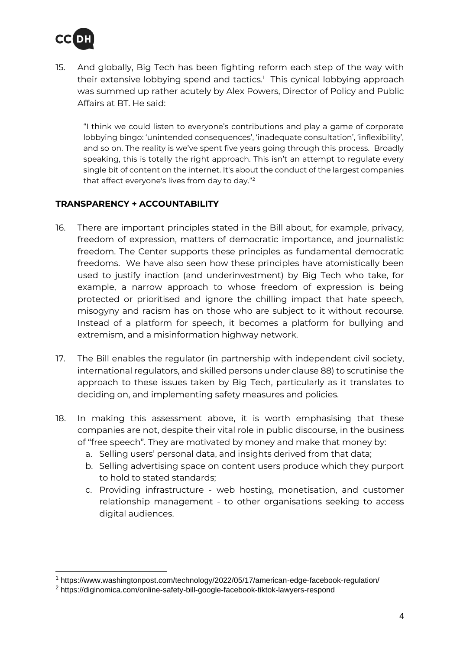

15. And globally, Big Tech has been fighting reform each step of the way with their extensive lobbying spend and tactics.<sup>1</sup> This cynical lobbying approach was summed up rather acutely by Alex Powers, Director of Policy and Public Affairs at BT. He said:

"I think we could listen to everyone's contributions and play a game of corporate lobbying bingo: 'unintended consequences', 'inadequate consultation', 'inflexibility', and so on. The reality is we've spent five years going through this process. Broadly speaking, this is totally the right approach. This isn't an attempt to regulate every single bit of content on the internet. It's about the conduct of the largest companies that affect everyone's lives from day to day."<sup>2</sup>

#### **TRANSPARENCY + ACCOUNTABILITY**

- 16. There are important principles stated in the Bill about, for example, privacy, freedom of expression, matters of democratic importance, and journalistic freedom. The Center supports these principles as fundamental democratic freedoms. We have also seen how these principles have atomistically been used to justify inaction (and underinvestment) by Big Tech who take, for example, a narrow approach to whose freedom of expression is being protected or prioritised and ignore the chilling impact that hate speech, misogyny and racism has on those who are subject to it without recourse. Instead of a platform for speech, it becomes a platform for bullying and extremism, and a misinformation highway network.
- 17. The Bill enables the regulator (in partnership with independent civil society, international regulators, and skilled persons under clause 88) to scrutinise the approach to these issues taken by Big Tech, particularly as it translates to deciding on, and implementing safety measures and policies.
- 18. In making this assessment above, it is worth emphasising that these companies are not, despite their vital role in public discourse, in the business of "free speech". They are motivated by money and make that money by:
	- a. Selling users' personal data, and insights derived from that data;
	- b. Selling advertising space on content users produce which they purport to hold to stated standards;
	- c. Providing infrastructure web hosting, monetisation, and customer relationship management - to other organisations seeking to access digital audiences.

<sup>1</sup> https://www.washingtonpost.com/technology/2022/05/17/american-edge-facebook-regulation/

<sup>2</sup> https://diginomica.com/online-safety-bill-google-facebook-tiktok-lawyers-respond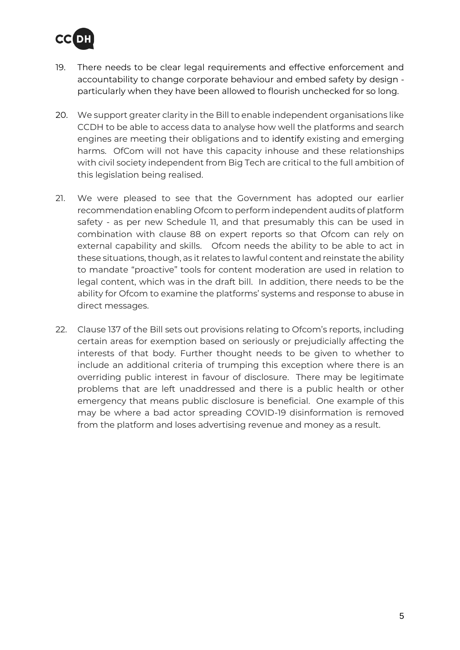

- 19. There needs to be clear legal requirements and effective enforcement and accountability to change corporate behaviour and embed safety by design particularly when they have been allowed to flourish unchecked for so long.
- 20. We support greater clarity in the Bill to enable independent organisations like CCDH to be able to access data to analyse how well the platforms and search engines are meeting their obligations and to identify existing and emerging harms. OfCom will not have this capacity inhouse and these relationships with civil society independent from Big Tech are critical to the full ambition of this legislation being realised.
- 21. We were pleased to see that the Government has adopted our earlier recommendation enabling Ofcom to perform independent audits of platform safety - as per new Schedule 11, and that presumably this can be used in combination with clause 88 on expert reports so that Ofcom can rely on external capability and skills. Ofcom needs the ability to be able to act in these situations, though, as it relates to lawful content and reinstate the ability to mandate "proactive" tools for content moderation are used in relation to legal content, which was in the draft bill. In addition, there needs to be the ability for Ofcom to examine the platforms' systems and response to abuse in direct messages.
- 22. Clause 137 of the Bill sets out provisions relating to Ofcom's reports, including certain areas for exemption based on seriously or prejudicially affecting the interests of that body. Further thought needs to be given to whether to include an additional criteria of trumping this exception where there is an overriding public interest in favour of disclosure. There may be legitimate problems that are left unaddressed and there is a public health or other emergency that means public disclosure is beneficial. One example of this may be where a bad actor spreading COVID-19 disinformation is removed from the platform and loses advertising revenue and money as a result.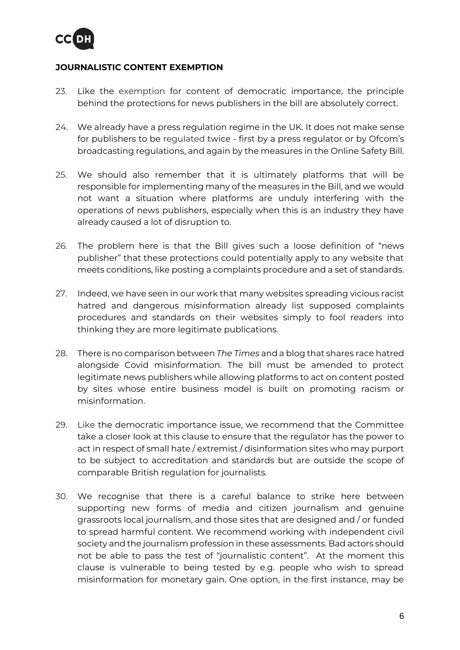

#### **JOURNALISTIC CONTENT EXEMPTION**

- 23. Like the exemption for content of democratic importance, the principle behind the protections for news publishers in the bill are absolutely correct.
- 24. We already have a press regulation regime in the UK. It does not make sense for publishers to be regulated twice - first by a press regulator or by Ofcom's broadcasting regulations, and again by the measures in the Online Safety Bill.
- 25. We should also remember that it is ultimately platforms that will be responsible for implementing many of the measures in the Bill, and we would not want a situation where platforms are unduly interfering with the operations of news publishers, especially when this is an industry they have already caused a lot of disruption to.
- 26. The problem here is that the Bill gives such a loose definition of "news publisher" that these protections could potentially apply to any website that meets conditions, like posting a complaints procedure and a set of standards.
- 27. Indeed, we have seen in our work that many websites spreading vicious racist hatred and dangerous misinformation already list supposed complaints procedures and standards on their websites simply to fool readers into thinking they are more legitimate publications.
- 28. There is no comparison between *The Times* and a blog that shares race hatred alongside Covid misinformation. The bill must be amended to protect legitimate news publishers while allowing platforms to act on content posted by sites whose entire business model is built on promoting racism or misinformation.
- 29. Like the democratic importance issue, we recommend that the Committee take a closer look at this clause to ensure that the regulator has the power to act in respect of small hate / extremist / disinformation sites who may purport to be subject to accreditation and standards but are outside the scope of comparable British regulation for journalists.
- 30. We recognise that there is a careful balance to strike here between supporting new forms of media and citizen journalism and genuine grassroots local journalism, and those sites that are designed and / or funded to spread harmful content. We recommend working with independent civil society and the journalism profession in these assessments. Bad actors should not be able to pass the test of "journalistic content". At the moment this clause is vulnerable to being tested by e.g. people who wish to spread misinformation for monetary gain. One option, in the first instance, may be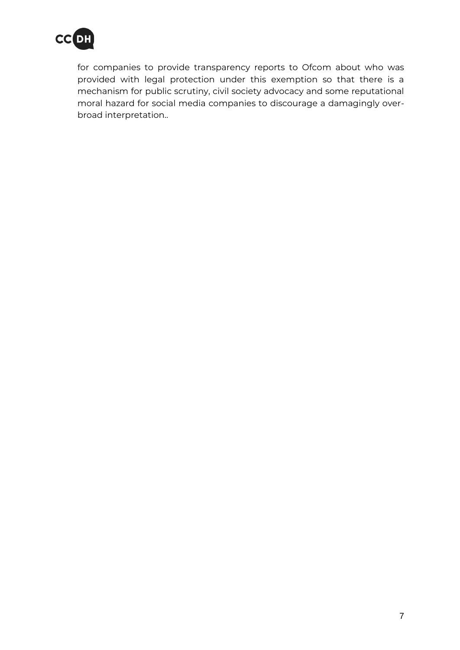

for companies to provide transparency reports to Ofcom about who was provided with legal protection under this exemption so that there is a mechanism for public scrutiny, civil society advocacy and some reputational moral hazard for social media companies to discourage a damagingly overbroad interpretation..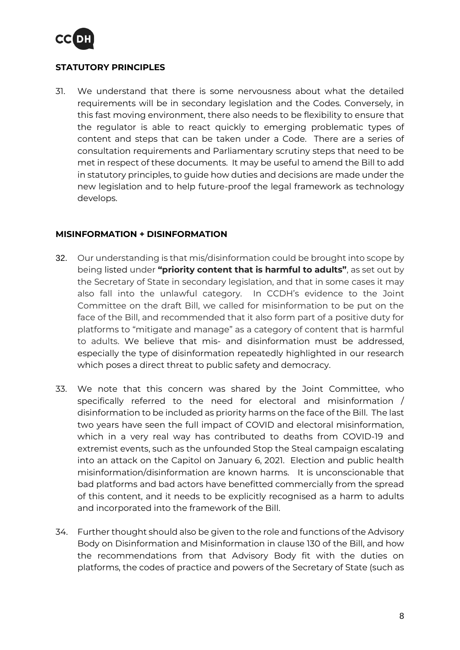

#### **STATUTORY PRINCIPLES**

31. We understand that there is some nervousness about what the detailed requirements will be in secondary legislation and the Codes. Conversely, in this fast moving environment, there also needs to be flexibility to ensure that the regulator is able to react quickly to emerging problematic types of content and steps that can be taken under a Code. There are a series of consultation requirements and Parliamentary scrutiny steps that need to be met in respect of these documents. It may be useful to amend the Bill to add in statutory principles, to guide how duties and decisions are made under the new legislation and to help future-proof the legal framework as technology develops.

#### **MISINFORMATION + DISINFORMATION**

- 32. Our understanding is that mis/disinformation could be brought into scope by being listed under **"priority content that is harmful to adults"**, as set out by the Secretary of State in secondary legislation, and that in some cases it may also fall into the unlawful category. In CCDH's evidence to the Joint Committee on the draft Bill, we called for misinformation to be put on the face of the Bill, and recommended that it also form part of a positive duty for platforms to "mitigate and manage" as a category of content that is harmful to adults. We believe that mis- and disinformation must be addressed, especially the type of disinformation repeatedly highlighted in our research which poses a direct threat to public safety and democracy.
- 33. We note that this concern was shared by the Joint Committee, who specifically referred to the need for electoral and misinformation / disinformation to be included as priority harms on the face of the Bill. The last two years have seen the full impact of COVID and electoral misinformation, which in a very real way has contributed to deaths from COVID-19 and extremist events, such as the unfounded Stop the Steal campaign escalating into an attack on the Capitol on January 6, 2021. Election and public health misinformation/disinformation are known harms. It is unconscionable that bad platforms and bad actors have benefitted commercially from the spread of this content, and it needs to be explicitly recognised as a harm to adults and incorporated into the framework of the Bill.
- 34. Further thought should also be given to the role and functions of the Advisory Body on Disinformation and Misinformation in clause 130 of the Bill, and how the recommendations from that Advisory Body fit with the duties on platforms, the codes of practice and powers of the Secretary of State (such as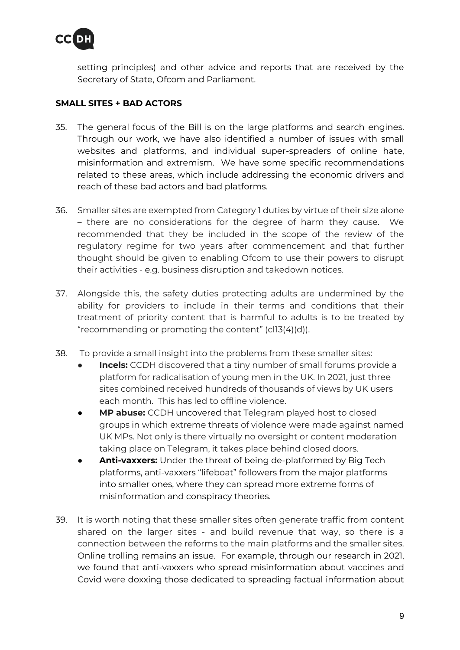

setting principles) and other advice and reports that are received by the Secretary of State, Ofcom and Parliament.

#### **SMALL SITES + BAD ACTORS**

- 35. The general focus of the Bill is on the large platforms and search engines. Through our work, we have also identified a number of issues with small websites and platforms, and individual super-spreaders of online hate, misinformation and extremism. We have some specific recommendations related to these areas, which include addressing the economic drivers and reach of these bad actors and bad platforms.
- 36. Smaller sites are exempted from Category 1 duties by virtue of their size alone – there are no considerations for the degree of harm they cause. We recommended that they be included in the scope of the review of the regulatory regime for two years after commencement and that further thought should be given to enabling Ofcom to use their powers to disrupt their activities - e.g. business disruption and takedown notices.
- 37. Alongside this, the safety duties protecting adults are undermined by the ability for providers to include in their terms and conditions that their treatment of priority content that is harmful to adults is to be treated by "recommending or promoting the content" (cl13(4)(d)).
- 38. To provide a small insight into the problems from these smaller sites:
	- **Incels:** CCDH discovered that a tiny number of small forums provide a platform for radicalisation of young men in the UK. In 2021, just three sites combined received hundreds of thousands of views by UK users each month. This has led to offline violence.
	- **MP abuse:** CCDH uncovered that Telegram played host to closed groups in which extreme threats of violence were made against named UK MPs. Not only is there virtually no oversight or content moderation taking place on Telegram, it takes place behind closed doors.
	- Anti-vaxxers: Under the threat of being de-platformed by Big Tech platforms, anti-vaxxers "lifeboat" followers from the major platforms into smaller ones, where they can spread more extreme forms of misinformation and conspiracy theories.
- 39. It is worth noting that these smaller sites often generate traffic from content shared on the larger sites - and build revenue that way, so there is a connection between the reforms to the main platforms and the smaller sites. Online trolling remains an issue. For example, through our research in 2021, we found that anti-vaxxers who spread misinformation about vaccines and Covid were doxxing those dedicated to spreading factual information about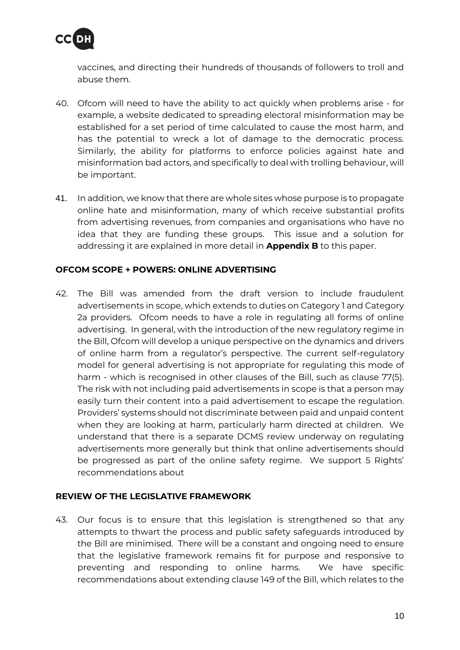

vaccines, and directing their hundreds of thousands of followers to troll and abuse them.

- 40. Ofcom will need to have the ability to act quickly when problems arise for example, a website dedicated to spreading electoral misinformation may be established for a set period of time calculated to cause the most harm, and has the potential to wreck a lot of damage to the democratic process. Similarly, the ability for platforms to enforce policies against hate and misinformation bad actors, and specifically to deal with trolling behaviour, will be important.
- 41. In addition, we know that there are whole sites whose purpose is to propagate online hate and misinformation, many of which receive substantial profits from advertising revenues, from companies and organisations who have no idea that they are funding these groups. This issue and a solution for addressing it are explained in more detail in **Appendix B** to this paper.

#### **OFCOM SCOPE + POWERS: ONLINE ADVERTISING**

42. The Bill was amended from the draft version to include fraudulent advertisements in scope, which extends to duties on Category 1 and Category 2a providers. Ofcom needs to have a role in regulating all forms of online advertising. In general, with the introduction of the new regulatory regime in the Bill, Ofcom will develop a unique perspective on the dynamics and drivers of online harm from a regulator's perspective. The current self-regulatory model for general advertising is not appropriate for regulating this mode of harm - which is recognised in other clauses of the Bill, such as clause 77(5). The risk with not including paid advertisements in scope is that a person may easily turn their content into a paid advertisement to escape the regulation. Providers' systems should not discriminate between paid and unpaid content when they are looking at harm, particularly harm directed at children. We understand that there is a separate DCMS review underway on regulating advertisements more generally but think that online advertisements should be progressed as part of the online safety regime. We support 5 Rights' recommendations about

#### **REVIEW OF THE LEGISLATIVE FRAMEWORK**

43. Our focus is to ensure that this legislation is strengthened so that any attempts to thwart the process and public safety safeguards introduced by the Bill are minimised. There will be a constant and ongoing need to ensure that the legislative framework remains fit for purpose and responsive to preventing and responding to online harms. We have specific recommendations about extending clause 149 of the Bill, which relates to the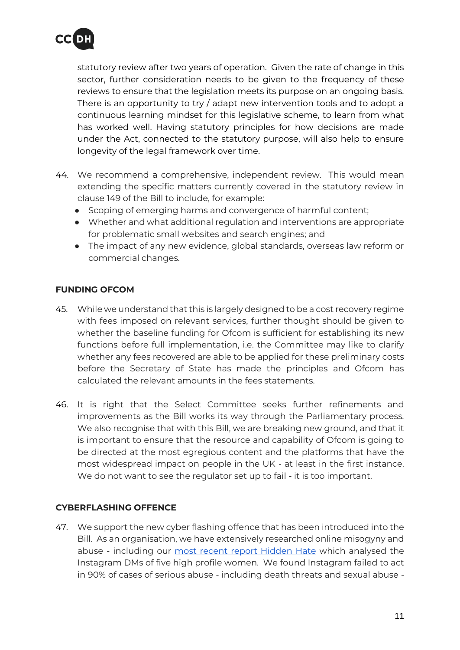

statutory review after two years of operation. Given the rate of change in this sector, further consideration needs to be given to the frequency of these reviews to ensure that the legislation meets its purpose on an ongoing basis. There is an opportunity to try / adapt new intervention tools and to adopt a continuous learning mindset for this legislative scheme, to learn from what has worked well. Having statutory principles for how decisions are made under the Act, connected to the statutory purpose, will also help to ensure longevity of the legal framework over time.

- 44. We recommend a comprehensive, independent review. This would mean extending the specific matters currently covered in the statutory review in clause 149 of the Bill to include, for example:
	- Scoping of emerging harms and convergence of harmful content;
	- Whether and what additional regulation and interventions are appropriate for problematic small websites and search engines; and
	- The impact of any new evidence, global standards, overseas law reform or commercial changes.

### **FUNDING OFCOM**

- 45. While we understand that this is largely designed to be a cost recovery regime with fees imposed on relevant services, further thought should be given to whether the baseline funding for Ofcom is sufficient for establishing its new functions before full implementation, i.e. the Committee may like to clarify whether any fees recovered are able to be applied for these preliminary costs before the Secretary of State has made the principles and Ofcom has calculated the relevant amounts in the fees statements.
- 46. It is right that the Select Committee seeks further refinements and improvements as the Bill works its way through the Parliamentary process. We also recognise that with this Bill, we are breaking new ground, and that it is important to ensure that the resource and capability of Ofcom is going to be directed at the most egregious content and the platforms that have the most widespread impact on people in the UK - at least in the first instance. We do not want to see the regulator set up to fail - it is too important.

#### **CYBERFLASHING OFFENCE**

47. We support the new cyber flashing offence that has been introduced into the Bill. As an organisation, we have extensively researched online misogyny and abuse - including our [most recent report Hidden Hate](https://counterhate.com/research/hidden-hate/) which analysed the Instagram DMs of five high profile women. We found Instagram failed to act in 90% of cases of serious abuse - including death threats and sexual abuse -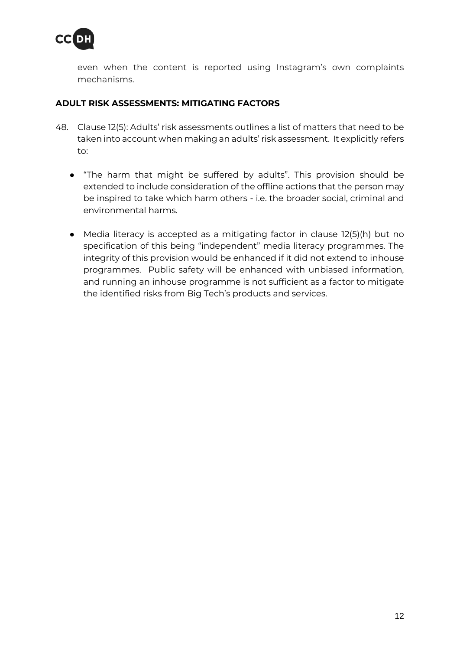

even when the content is reported using Instagram's own complaints mechanisms.

#### **ADULT RISK ASSESSMENTS: MITIGATING FACTORS**

- 48. Clause 12(5): Adults' risk assessments outlines a list of matters that need to be taken into account when making an adults' risk assessment. It explicitly refers to:
	- "The harm that might be suffered by adults". This provision should be extended to include consideration of the offline actions that the person may be inspired to take which harm others - i.e. the broader social, criminal and environmental harms.
	- Media literacy is accepted as a mitigating factor in clause 12(5)(h) but no specification of this being "independent" media literacy programmes. The integrity of this provision would be enhanced if it did not extend to inhouse programmes. Public safety will be enhanced with unbiased information, and running an inhouse programme is not sufficient as a factor to mitigate the identified risks from Big Tech's products and services.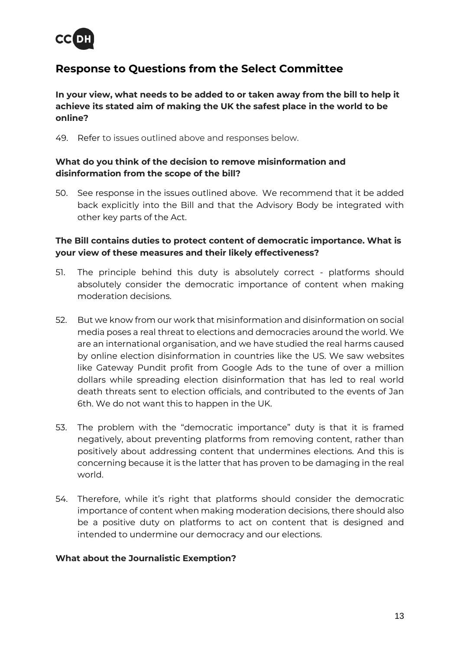

# **Response to Questions from the Select Committee**

**In your view, what needs to be added to or taken away from the bill to help it achieve its stated aim of making the UK the safest place in the world to be online?**

49. Refer to issues outlined above and responses below.

### **What do you think of the decision to remove misinformation and disinformation from the scope of the bill?**

50. See response in the issues outlined above. We recommend that it be added back explicitly into the Bill and that the Advisory Body be integrated with other key parts of the Act.

# **The Bill contains duties to protect content of democratic importance. What is your view of these measures and their likely effectiveness?**

- 51. The principle behind this duty is absolutely correct platforms should absolutely consider the democratic importance of content when making moderation decisions.
- 52. But we know from our work that misinformation and disinformation on social media poses a real threat to elections and democracies around the world. We are an international organisation, and we have studied the real harms caused by online election disinformation in countries like the US. We saw websites like Gateway Pundit profit from Google Ads to the tune of over a million dollars while spreading election disinformation that has led to real world death threats sent to election officials, and contributed to the events of Jan 6th. We do not want this to happen in the UK.
- 53. The problem with the "democratic importance" duty is that it is framed negatively, about preventing platforms from removing content, rather than positively about addressing content that undermines elections. And this is concerning because it is the latter that has proven to be damaging in the real world.
- 54. Therefore, while it's right that platforms should consider the democratic importance of content when making moderation decisions, there should also be a positive duty on platforms to act on content that is designed and intended to undermine our democracy and our elections.

#### **What about the Journalistic Exemption?**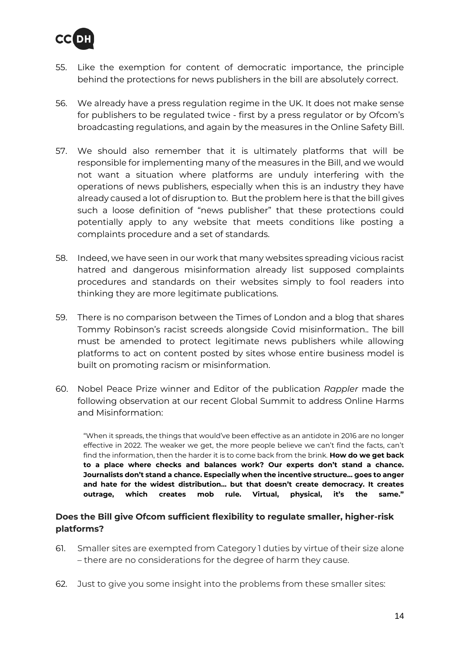

- 55. Like the exemption for content of democratic importance, the principle behind the protections for news publishers in the bill are absolutely correct.
- 56. We already have a press regulation regime in the UK. It does not make sense for publishers to be regulated twice - first by a press regulator or by Ofcom's broadcasting regulations, and again by the measures in the Online Safety Bill.
- 57. We should also remember that it is ultimately platforms that will be responsible for implementing many of the measures in the Bill, and we would not want a situation where platforms are unduly interfering with the operations of news publishers, especially when this is an industry they have already caused a lot of disruption to. But the problem here is that the bill gives such a loose definition of "news publisher" that these protections could potentially apply to any website that meets conditions like posting a complaints procedure and a set of standards.
- 58. Indeed, we have seen in our work that many websites spreading vicious racist hatred and dangerous misinformation already list supposed complaints procedures and standards on their websites simply to fool readers into thinking they are more legitimate publications.
- 59. There is no comparison between the Times of London and a blog that shares Tommy Robinson's racist screeds alongside Covid misinformation.. The bill must be amended to protect legitimate news publishers while allowing platforms to act on content posted by sites whose entire business model is built on promoting racism or misinformation.
- 60. Nobel Peace Prize winner and Editor of the publication *Rappler* made the following observation at our recent Global Summit to address Online Harms and Misinformation:

"When it spreads, the things that would've been effective as an antidote in 2016 are no longer effective in 2022. The weaker we get, the more people believe we can't find the facts, can't find the information, then the harder it is to come back from the brink. **How do we get back to a place where checks and balances work? Our experts don't stand a chance. Journalists don't stand a chance. Especially when the incentive structure… goes to anger and hate for the widest distribution… but that doesn't create democracy. It creates outrage, which creates mob rule. Virtual, physical, it's the same."** 

### **Does the Bill give Ofcom sufficient flexibility to regulate smaller, higher-risk platforms?**

- 61. Smaller sites are exempted from Category 1 duties by virtue of their size alone – there are no considerations for the degree of harm they cause.
- 62. Just to give you some insight into the problems from these smaller sites: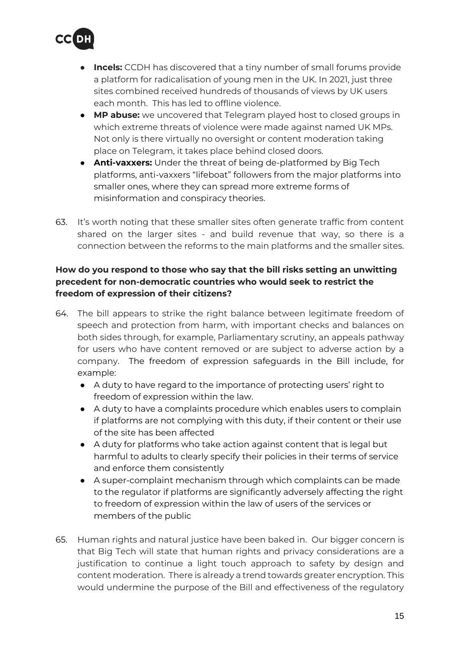

- **Incels:** CCDH has discovered that a tiny number of small forums provide a platform for radicalisation of young men in the UK. In 2021, just three sites combined received hundreds of thousands of views by UK users each month. This has led to offline violence.
- **MP abuse:** we uncovered that Telegram played host to closed groups in which extreme threats of violence were made against named UK MPs. Not only is there virtually no oversight or content moderation taking place on Telegram, it takes place behind closed doors.
- **Anti-vaxxers:** Under the threat of being de-platformed by Big Tech platforms, anti-vaxxers "lifeboat" followers from the major platforms into smaller ones, where they can spread more extreme forms of misinformation and conspiracy theories.
- 63. It's worth noting that these smaller sites often generate traffic from content shared on the larger sites - and build revenue that way, so there is a connection between the reforms to the main platforms and the smaller sites.

# **How do you respond to those who say that the bill risks setting an unwitting precedent for non-democratic countries who would seek to restrict the freedom of expression of their citizens?**

- 64. The bill appears to strike the right balance between legitimate freedom of speech and protection from harm, with important checks and balances on both sides through, for example, Parliamentary scrutiny, an appeals pathway for users who have content removed or are subject to adverse action by a company. The freedom of expression safeguards in the Bill include, for example:
	- A duty to have regard to the importance of protecting users' right to freedom of expression within the law.
	- A duty to have a complaints procedure which enables users to complain if platforms are not complying with this duty, if their content or their use of the site has been affected
	- A duty for platforms who take action against content that is legal but harmful to adults to clearly specify their policies in their terms of service and enforce them consistently
	- A super-complaint mechanism through which complaints can be made to the regulator if platforms are significantly adversely affecting the right to freedom of expression within the law of users of the services or members of the public
- 65. Human rights and natural justice have been baked in. Our bigger concern is that Big Tech will state that human rights and privacy considerations are a justification to continue a light touch approach to safety by design and content moderation. There is already a trend towards greater encryption. This would undermine the purpose of the Bill and effectiveness of the regulatory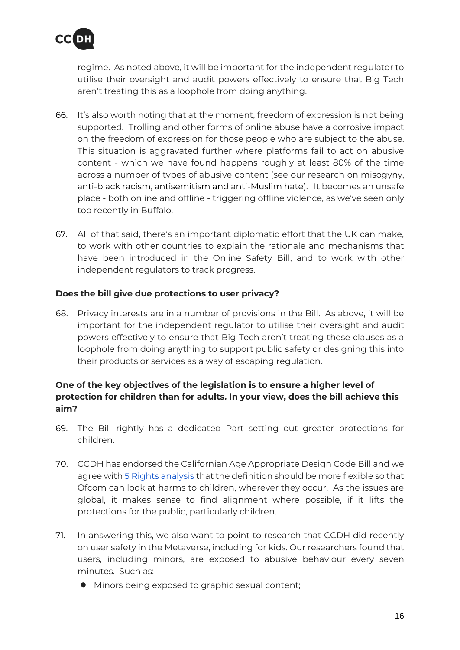

regime. As noted above, it will be important for the independent regulator to utilise their oversight and audit powers effectively to ensure that Big Tech aren't treating this as a loophole from doing anything.

- 66. It's also worth noting that at the moment, freedom of expression is not being supported. Trolling and other forms of online abuse have a corrosive impact on the freedom of expression for those people who are subject to the abuse. This situation is aggravated further where platforms fail to act on abusive content - which we have found happens roughly at least 80% of the time across a number of types of abusive content (see our research on misogyny, anti-black racism, antisemitism and anti-Muslim hate). It becomes an unsafe place - both online and offline - triggering offline violence, as we've seen only too recently in Buffalo.
- 67. All of that said, there's an important diplomatic effort that the UK can make, to work with other countries to explain the rationale and mechanisms that have been introduced in the Online Safety Bill, and to work with other independent regulators to track progress.

#### **Does the bill give due protections to user privacy?**

68. Privacy interests are in a number of provisions in the Bill. As above, it will be important for the independent regulator to utilise their oversight and audit powers effectively to ensure that Big Tech aren't treating these clauses as a loophole from doing anything to support public safety or designing this into their products or services as a way of escaping regulation.

# **One of the key objectives of the legislation is to ensure a higher level of protection for children than for adults. In your view, does the bill achieve this aim?**

- 69. The Bill rightly has a dedicated Part setting out greater protections for children.
- 70. CCDH has endorsed the Californian Age Appropriate Design Code Bill and we agree wit[h 5 Rights analysis](https://5rightsfoundation.com/uploads/5Rights-Parliamentary-Briefing---Online-Safety-Bill.pdf?_cchid=140cededb1cc1ec28b03dc55614959c1) that the definition should be more flexible so that Ofcom can look at harms to children, wherever they occur. As the issues are global, it makes sense to find alignment where possible, if it lifts the protections for the public, particularly children.
- 71. In answering this, we also want to point to research that CCDH did recently on user safety in the Metaverse, including for kids. Our researchers found that users, including minors, are exposed to abusive behaviour every seven minutes. Such as:
	- Minors being exposed to graphic sexual content;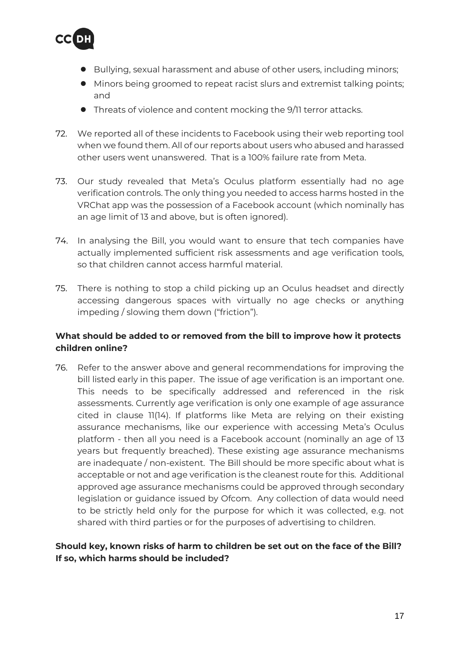

- Bullying, sexual harassment and abuse of other users, including minors;
- Minors being groomed to repeat racist slurs and extremist talking points; and
- Threats of violence and content mocking the 9/11 terror attacks.
- 72. We reported all of these incidents to Facebook using their web reporting tool when we found them. All of our reports about users who abused and harassed other users went unanswered. That is a 100% failure rate from Meta.
- 73. Our study revealed that Meta's Oculus platform essentially had no age verification controls. The only thing you needed to access harms hosted in the VRChat app was the possession of a Facebook account (which nominally has an age limit of 13 and above, but is often ignored).
- 74. In analysing the Bill, you would want to ensure that tech companies have actually implemented sufficient risk assessments and age verification tools, so that children cannot access harmful material.
- 75. There is nothing to stop a child picking up an Oculus headset and directly accessing dangerous spaces with virtually no age checks or anything impeding / slowing them down ("friction").

# **What should be added to or removed from the bill to improve how it protects children online?**

76. Refer to the answer above and general recommendations for improving the bill listed early in this paper. The issue of age verification is an important one. This needs to be specifically addressed and referenced in the risk assessments. Currently age verification is only one example of age assurance cited in clause 11(14). If platforms like Meta are relying on their existing assurance mechanisms, like our experience with accessing Meta's Oculus platform - then all you need is a Facebook account (nominally an age of 13 years but frequently breached). These existing age assurance mechanisms are inadequate / non-existent. The Bill should be more specific about what is acceptable or not and age verification is the cleanest route for this. Additional approved age assurance mechanisms could be approved through secondary legislation or guidance issued by Ofcom. Any collection of data would need to be strictly held only for the purpose for which it was collected, e.g. not shared with third parties or for the purposes of advertising to children.

# **Should key, known risks of harm to children be set out on the face of the Bill? If so, which harms should be included?**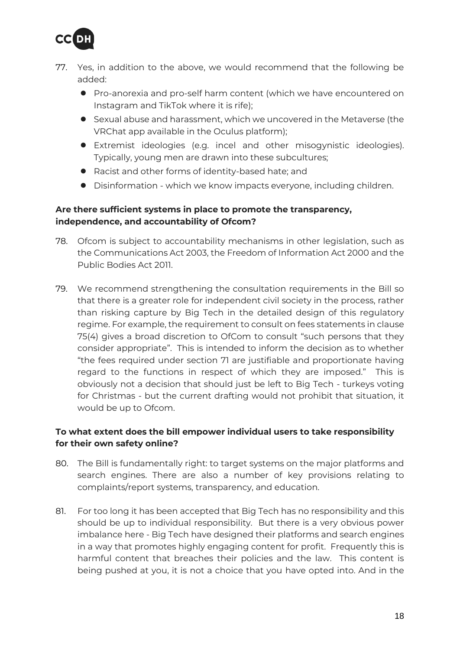

- 77. Yes, in addition to the above, we would recommend that the following be added:
	- Pro-anorexia and pro-self harm content (which we have encountered on Instagram and TikTok where it is rife);
	- Sexual abuse and harassment, which we uncovered in the Metaverse (the VRChat app available in the Oculus platform);
	- Extremist ideologies (e.g. incel and other misogynistic ideologies). Typically, young men are drawn into these subcultures;
	- Racist and other forms of identity-based hate; and
	- Disinformation which we know impacts everyone, including children.

# **Are there sufficient systems in place to promote the transparency, independence, and accountability of Ofcom?**

- 78. Ofcom is subject to accountability mechanisms in other legislation, such as the Communications Act 2003, the Freedom of Information Act 2000 and the Public Bodies Act 2011.
- 79. We recommend strengthening the consultation requirements in the Bill so that there is a greater role for independent civil society in the process, rather than risking capture by Big Tech in the detailed design of this regulatory regime. For example, the requirement to consult on fees statements in clause 75(4) gives a broad discretion to OfCom to consult "such persons that they consider appropriate". This is intended to inform the decision as to whether "the fees required under section 71 are justifiable and proportionate having regard to the functions in respect of which they are imposed." This is obviously not a decision that should just be left to Big Tech - turkeys voting for Christmas - but the current drafting would not prohibit that situation, it would be up to Ofcom.

# **To what extent does the bill empower individual users to take responsibility for their own safety online?**

- 80. The Bill is fundamentally right: to target systems on the major platforms and search engines. There are also a number of key provisions relating to complaints/report systems, transparency, and education.
- 81. For too long it has been accepted that Big Tech has no responsibility and this should be up to individual responsibility. But there is a very obvious power imbalance here - Big Tech have designed their platforms and search engines in a way that promotes highly engaging content for profit. Frequently this is harmful content that breaches their policies and the law. This content is being pushed at you, it is not a choice that you have opted into. And in the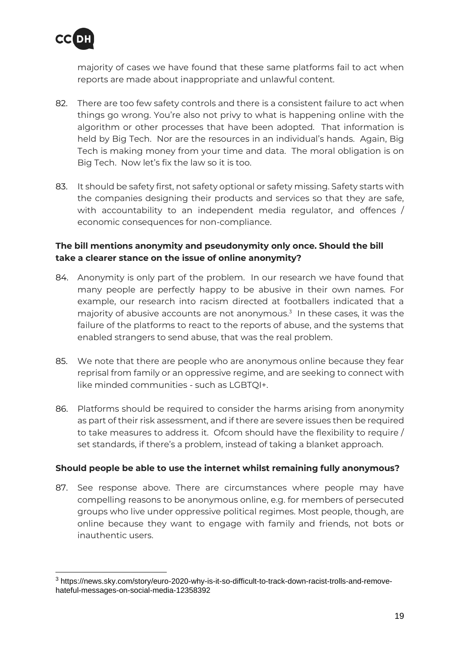

majority of cases we have found that these same platforms fail to act when reports are made about inappropriate and unlawful content.

- 82. There are too few safety controls and there is a consistent failure to act when things go wrong. You're also not privy to what is happening online with the algorithm or other processes that have been adopted. That information is held by Big Tech. Nor are the resources in an individual's hands. Again, Big Tech is making money from your time and data. The moral obligation is on Big Tech. Now let's fix the law so it is too.
- 83. It should be safety first, not safety optional or safety missing. Safety starts with the companies designing their products and services so that they are safe, with accountability to an independent media regulator, and offences / economic consequences for non-compliance.

### **The bill mentions anonymity and pseudonymity only once. Should the bill take a clearer stance on the issue of online anonymity?**

- 84. Anonymity is only part of the problem. In our research we have found that many people are perfectly happy to be abusive in their own names. For example, our research into racism directed at footballers indicated that a majority of abusive accounts are not anonymous.<sup>3</sup> In these cases, it was the failure of the platforms to react to the reports of abuse, and the systems that enabled strangers to send abuse, that was the real problem.
- 85. We note that there are people who are anonymous online because they fear reprisal from family or an oppressive regime, and are seeking to connect with like minded communities - such as LGBTQI+.
- 86. Platforms should be required to consider the harms arising from anonymity as part of their risk assessment, and if there are severe issues then be required to take measures to address it. Ofcom should have the flexibility to require / set standards, if there's a problem, instead of taking a blanket approach.

#### **Should people be able to use the internet whilst remaining fully anonymous?**

87. See response above. There are circumstances where people may have compelling reasons to be anonymous online, e.g. for members of persecuted groups who live under oppressive political regimes. Most people, though, are online because they want to engage with family and friends, not bots or inauthentic users.

<sup>3</sup> https://news.sky.com/story/euro-2020-why-is-it-so-difficult-to-track-down-racist-trolls-and-removehateful-messages-on-social-media-12358392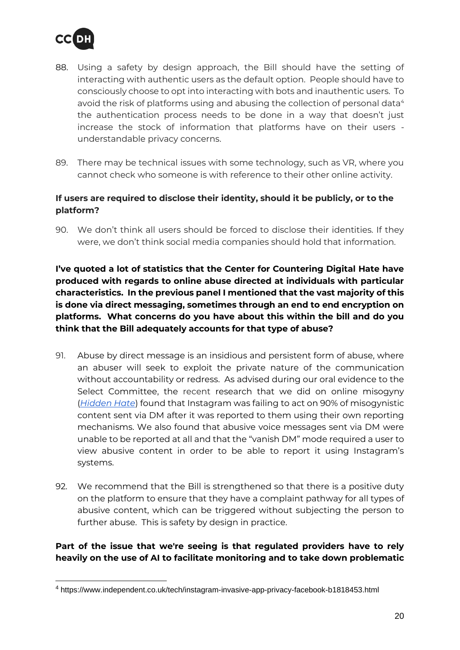

- 88. Using a safety by design approach, the Bill should have the setting of interacting with authentic users as the default option. People should have to consciously choose to opt into interacting with bots and inauthentic users. To avoid the risk of platforms using and abusing the collection of personal data<sup>4</sup> the authentication process needs to be done in a way that doesn't just increase the stock of information that platforms have on their users understandable privacy concerns.
- 89. There may be technical issues with some technology, such as VR, where you cannot check who someone is with reference to their other online activity.

# **If users are required to disclose their identity, should it be publicly, or to the platform?**

90. We don't think all users should be forced to disclose their identities. If they were, we don't think social media companies should hold that information.

**I've quoted a lot of statistics that the Center for Countering Digital Hate have produced with regards to online abuse directed at individuals with particular characteristics. In the previous panel I mentioned that the vast majority of this is done via direct messaging, sometimes through an end to end encryption on platforms. What concerns do you have about this within the bill and do you think that the Bill adequately accounts for that type of abuse?**

- 91. Abuse by direct message is an insidious and persistent form of abuse, where an abuser will seek to exploit the private nature of the communication without accountability or redress. As advised during our oral evidence to the Select Committee, the recent research that we did on online misogyny (*[Hidden Hate](https://counterhate.com/research/hidden-hate/)*) found that Instagram was failing to act on 90% of misogynistic content sent via DM after it was reported to them using their own reporting mechanisms. We also found that abusive voice messages sent via DM were unable to be reported at all and that the "vanish DM" mode required a user to view abusive content in order to be able to report it using Instagram's systems.
- 92. We recommend that the Bill is strengthened so that there is a positive duty on the platform to ensure that they have a complaint pathway for all types of abusive content, which can be triggered without subjecting the person to further abuse. This is safety by design in practice.

# **Part of the issue that we're seeing is that regulated providers have to rely heavily on the use of AI to facilitate monitoring and to take down problematic**

<sup>4</sup> https://www.independent.co.uk/tech/instagram-invasive-app-privacy-facebook-b1818453.html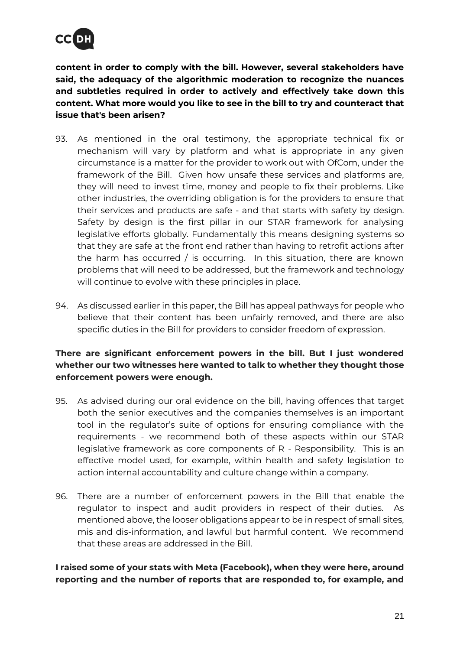

**content in order to comply with the bill. However, several stakeholders have said, the adequacy of the algorithmic moderation to recognize the nuances and subtleties required in order to actively and effectively take down this content. What more would you like to see in the bill to try and counteract that issue that's been arisen?**

- 93. As mentioned in the oral testimony, the appropriate technical fix or mechanism will vary by platform and what is appropriate in any given circumstance is a matter for the provider to work out with OfCom, under the framework of the Bill. Given how unsafe these services and platforms are, they will need to invest time, money and people to fix their problems. Like other industries, the overriding obligation is for the providers to ensure that their services and products are safe - and that starts with safety by design. Safety by design is the first pillar in our STAR framework for analysing legislative efforts globally. Fundamentally this means designing systems so that they are safe at the front end rather than having to retrofit actions after the harm has occurred / is occurring. In this situation, there are known problems that will need to be addressed, but the framework and technology will continue to evolve with these principles in place.
- 94. As discussed earlier in this paper, the Bill has appeal pathways for people who believe that their content has been unfairly removed, and there are also specific duties in the Bill for providers to consider freedom of expression.

# **There are significant enforcement powers in the bill. But I just wondered whether our two witnesses here wanted to talk to whether they thought those enforcement powers were enough.**

- 95. As advised during our oral evidence on the bill, having offences that target both the senior executives and the companies themselves is an important tool in the regulator's suite of options for ensuring compliance with the requirements - we recommend both of these aspects within our STAR legislative framework as core components of R - Responsibility. This is an effective model used, for example, within health and safety legislation to action internal accountability and culture change within a company.
- 96. There are a number of enforcement powers in the Bill that enable the regulator to inspect and audit providers in respect of their duties. As mentioned above, the looser obligations appear to be in respect of small sites, mis and dis-information, and lawful but harmful content. We recommend that these areas are addressed in the Bill.

**I raised some of your stats with Meta (Facebook), when they were here, around reporting and the number of reports that are responded to, for example, and**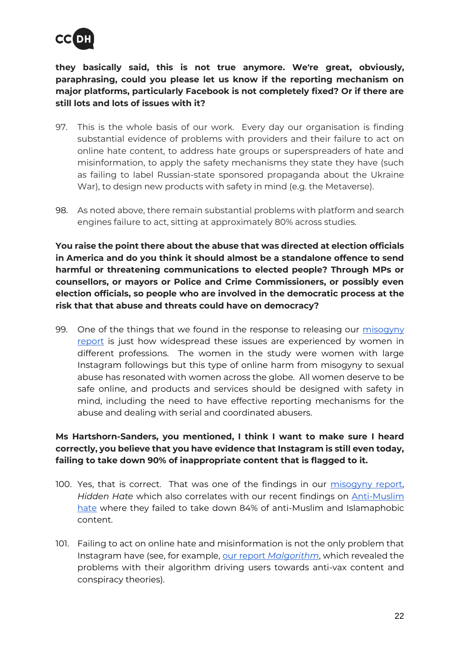

**they basically said, this is not true anymore. We're great, obviously, paraphrasing, could you please let us know if the reporting mechanism on major platforms, particularly Facebook is not completely fixed? Or if there are still lots and lots of issues with it?**

- 97. This is the whole basis of our work. Every day our organisation is finding substantial evidence of problems with providers and their failure to act on online hate content, to address hate groups or superspreaders of hate and misinformation, to apply the safety mechanisms they state they have (such as failing to label Russian-state sponsored propaganda about the Ukraine War), to design new products with safety in mind (e.g. the Metaverse).
- 98. As noted above, there remain substantial problems with platform and search engines failure to act, sitting at approximately 80% across studies.

**You raise the point there about the abuse that was directed at election officials in America and do you think it should almost be a standalone offence to send harmful or threatening communications to elected people? Through MPs or counsellors, or mayors or Police and Crime Commissioners, or possibly even election officials, so people who are involved in the democratic process at the risk that that abuse and threats could have on democracy?**

99. One of the things that we found in the response to releasing our misogyny [report](https://counterhate.com/topic/misogyny/) is just how widespread these issues are experienced by women in different professions. The women in the study were women with large Instagram followings but this type of online harm from misogyny to sexual abuse has resonated with women across the globe. All women deserve to be safe online, and products and services should be designed with safety in mind, including the need to have effective reporting mechanisms for the abuse and dealing with serial and coordinated abusers.

### **Ms Hartshorn-Sanders, you mentioned, I think I want to make sure I heard correctly, you believe that you have evidence that Instagram is still even today, failing to take down 90% of inappropriate content that is flagged to it.**

- 100. Yes, that is correct. That was one of the findings in our [misogyny report,](https://counterhate.com/topic/misogyny/) *Hidden Hate* which also correlates with our recent findings on [Anti-Muslim](https://counterhate.com/research/anti-muslim-hate/)  [hate](https://counterhate.com/research/anti-muslim-hate/) where they failed to take down 84% of anti-Muslim and Islamaphobic content.
- 101. Failing to act on online hate and misinformation is not the only problem that Instagram have (see, for example, [our report](https://counterhate.com/research/malgorithm-fix-instagram/) *[Malgorithm](https://counterhate.com/research/malgorithm-fix-instagram/)*, which revealed the problems with their algorithm driving users towards anti-vax content and conspiracy theories).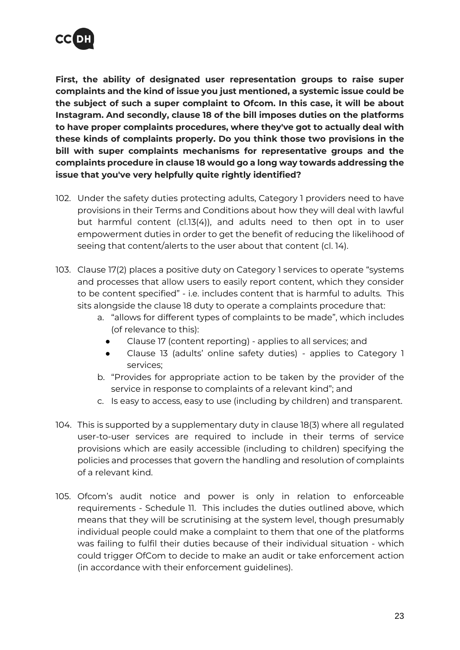

**First, the ability of designated user representation groups to raise super complaints and the kind of issue you just mentioned, a systemic issue could be the subject of such a super complaint to Ofcom. In this case, it will be about Instagram. And secondly, clause 18 of the bill imposes duties on the platforms to have proper complaints procedures, where they've got to actually deal with these kinds of complaints properly. Do you think those two provisions in the bill with super complaints mechanisms for representative groups and the complaints procedure in clause 18 would go a long way towards addressing the issue that you've very helpfully quite rightly identified?**

- 102. Under the safety duties protecting adults, Category 1 providers need to have provisions in their Terms and Conditions about how they will deal with lawful but harmful content (cl.13(4)), and adults need to then opt in to user empowerment duties in order to get the benefit of reducing the likelihood of seeing that content/alerts to the user about that content (cl. 14).
- 103. Clause 17(2) places a positive duty on Category 1 services to operate "systems and processes that allow users to easily report content, which they consider to be content specified" - i.e. includes content that is harmful to adults. This sits alongside the clause 18 duty to operate a complaints procedure that:
	- a. "allows for different types of complaints to be made", which includes (of relevance to this):
		- Clause 17 (content reporting) applies to all services; and
		- Clause 13 (adults' online safety duties) applies to Category 1 services;
	- b. "Provides for appropriate action to be taken by the provider of the service in response to complaints of a relevant kind"; and
	- c. Is easy to access, easy to use (including by children) and transparent.
- 104. This is supported by a supplementary duty in clause 18(3) where all regulated user-to-user services are required to include in their terms of service provisions which are easily accessible (including to children) specifying the policies and processes that govern the handling and resolution of complaints of a relevant kind.
- 105. Ofcom's audit notice and power is only in relation to enforceable requirements - Schedule 11. This includes the duties outlined above, which means that they will be scrutinising at the system level, though presumably individual people could make a complaint to them that one of the platforms was failing to fulfil their duties because of their individual situation - which could trigger OfCom to decide to make an audit or take enforcement action (in accordance with their enforcement guidelines).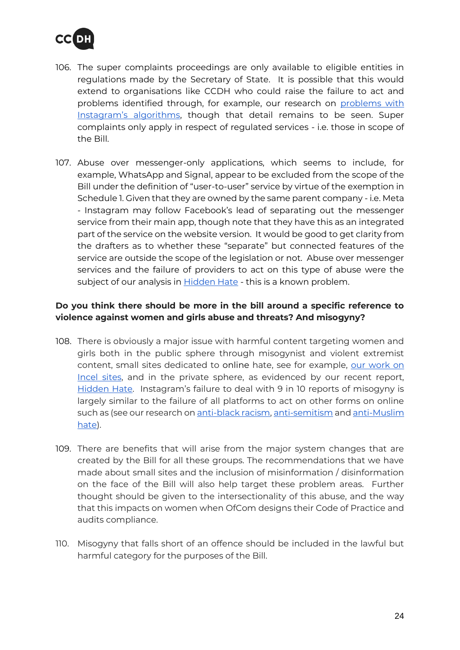

- 106. The super complaints proceedings are only available to eligible entities in regulations made by the Secretary of State. It is possible that this would extend to organisations like CCDH who could raise the failure to act and problems identified through, for example, our research on [problems with](https://counterhate.com/research/malgorithm-fix-instagram/)  [Instagram's algorithms](https://counterhate.com/research/malgorithm-fix-instagram/), though that detail remains to be seen. Super complaints only apply in respect of regulated services - i.e. those in scope of the Bill.
- 107. Abuse over messenger-only applications, which seems to include, for example, WhatsApp and Signal, appear to be excluded from the scope of the Bill under the definition of "user-to-user" service by virtue of the exemption in Schedule 1. Given that they are owned by the same parent company - i.e. Meta - Instagram may follow Facebook's lead of separating out the messenger service from their main app, though note that they have this as an integrated part of the service on the website version. It would be good to get clarity from the drafters as to whether these "separate" but connected features of the service are outside the scope of the legislation or not. Abuse over messenger services and the failure of providers to act on this type of abuse were the subject of our analysis in **Hidden Hate** - this is a known problem.

### **Do you think there should be more in the bill around a specific reference to violence against women and girls abuse and threats? And misogyny?**

- 108. There is obviously a major issue with harmful content targeting women and girls both in the public sphere through misogynist and violent extremist content, small sites dedicated to online hat[e,](https://www.independent.co.uk/news/uk/jake-davison-plymouth-law-commission-ofcom-b1985878.html) see for example, our work on [Incel sites,](https://www.independent.co.uk/news/uk/jake-davison-plymouth-law-commission-ofcom-b1985878.html) and in the private sphere, as evidenced by our recent report, [Hidden Hate](https://counterhate.com/research/hidden-hate/). Instagram's failure to deal with 9 in 10 reports of misogyny is largely similar to the failure of all platforms to act on other forms on online such as (see our research o[n anti-black racism,](https://counterhate.com/research/euro-21-final-racism-and-instagram/) [anti-semitism](https://counterhate.com/topic/antisemitism/) and anti-Muslim [hate\)](https://counterhate.com/research/anti-muslim-hate/).
- 109. There are benefits that will arise from the major system changes that are created by the Bill for all these groups. The recommendations that we have made about small sites and the inclusion of misinformation / disinformation on the face of the Bill will also help target these problem areas. Further thought should be given to the intersectionality of this abuse, and the way that this impacts on women when OfCom designs their Code of Practice and audits compliance.
- 110. Misogyny that falls short of an offence should be included in the lawful but harmful category for the purposes of the Bill.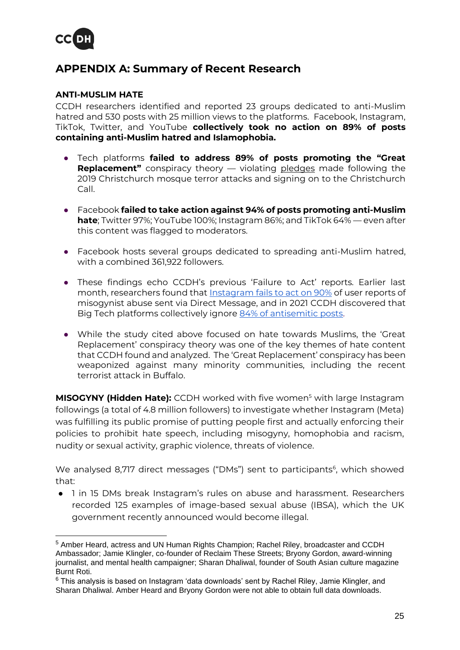

# **APPENDIX A: Summary of Recent Research**

#### **ANTI-MUSLIM HATE**

CCDH researchers identified and reported 23 groups dedicated to anti-Muslim hatred and 530 posts with 25 million views to the platforms. Facebook, Instagram, TikTok, Twitter, and YouTube **collectively took no action on 89% of posts containing anti-Muslim hatred and Islamophobia.**

- Tech platforms **failed to address 89% of posts promoting the "Great Replacement"** conspiracy theory — violating [pledges](https://www.christchurchcall.com/christchurch-call.pdf) made following the 2019 Christchurch mosque terror attacks and signing on to the Christchurch Call.
- Facebook **failed to take action against 94% of posts promoting anti-Muslim hate**; Twitter 97%; YouTube 100%; Instagram 86%; and TikTok 64% — even after this content was flagged to moderators.
- Facebook hosts several groups dedicated to spreading anti-Muslim hatred, with a combined 361,922 followers.
- These findings echo CCDH's previous 'Failure to Act' reports. Earlier last month, researchers found that [Instagram fails to act on 90%](https://www.counterhate.com/hiddenhate) of user reports of misogynist abuse sent via Direct Message, and in 2021 CCDH discovered that Big Tech platforms collectively ignore [84% of antisemitic posts.](https://www.counterhate.com/failuretoprotect)
- While the study cited above focused on hate towards Muslims, the 'Great Replacement' conspiracy theory was one of the key themes of hate content that CCDH found and analyzed. The 'Great Replacement' conspiracy has been weaponized against many minority communities, including the recent terrorist attack in Buffalo.

**MISOGYNY (Hidden Hate):** CCDH worked with five women<sup>5</sup> with large Instagram followings (a total of 4.8 million followers) to investigate whether Instagram (Meta) was fulfilling its public promise of putting people first and actually enforcing their policies to prohibit hate speech, including misogyny, homophobia and racism, nudity or sexual activity, graphic violence, threats of violence.

We analysed 8,717 direct messages ("DMs") sent to participants<sup>6</sup>, which showed that:

● 1 in 15 DMs break Instagram's rules on abuse and harassment. Researchers recorded 125 examples of image-based sexual abuse (IBSA), which the UK government recently announced would become illegal.

<sup>5</sup> Amber Heard, actress and UN Human Rights Champion; Rachel Riley, broadcaster and CCDH Ambassador; Jamie Klingler, co-founder of Reclaim These Streets; Bryony Gordon, award-winning journalist, and mental health campaigner; Sharan Dhaliwal, founder of South Asian culture magazine Burnt Roti.

<sup>&</sup>lt;sup>6</sup> This analysis is based on Instagram 'data downloads' sent by Rachel Riley, Jamie Klingler, and Sharan Dhaliwal. Amber Heard and Bryony Gordon were not able to obtain full data downloads.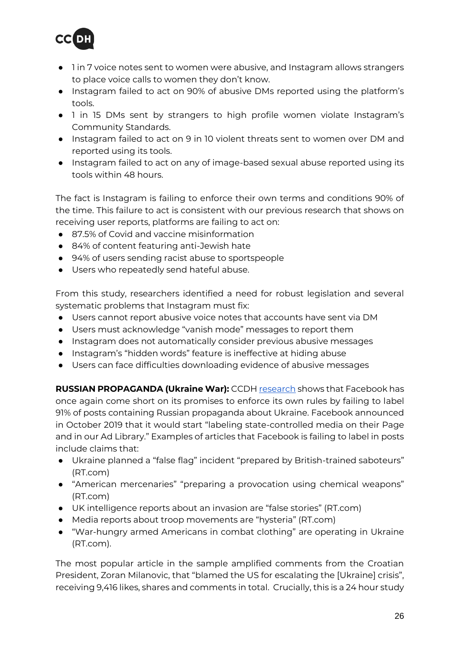

- 1 in 7 voice notes sent to women were abusive, and Instagram allows strangers to place voice calls to women they don't know.
- Instagram failed to act on 90% of abusive DMs reported using the platform's tools.
- 1 in 15 DMs sent by strangers to high profile women violate Instagram's Community Standards.
- Instagram failed to act on 9 in 10 violent threats sent to women over DM and reported using its tools.
- Instagram failed to act on any of image-based sexual abuse reported using its tools within 48 hours.

The fact is Instagram is failing to enforce their own terms and conditions 90% of the time. This failure to act is consistent with our previous research that shows on receiving user reports, platforms are failing to act on:

- 87.5% of Covid and vaccine misinformation
- 84% of content featuring anti-Jewish hate
- 94% of users sending racist abuse to sportspeople
- Users who repeatedly send hateful abuse.

From this study, researchers identified a need for robust legislation and several systematic problems that Instagram must fix:

- Users cannot report abusive voice notes that accounts have sent via DM
- Users must acknowledge "vanish mode" messages to report them
- Instagram does not automatically consider previous abusive messages
- Instagram's "hidden words" feature is ineffective at hiding abuse
- Users can face difficulties downloading evidence of abusive messages

**RUSSIAN PROPAGANDA (Ukraine War):** CCD[H research](https://techpolicy.press/facebook-failing-to-label-posts-containing-russian-propaganda-about-ukraine/) shows that Facebook has once again come short on its promises to enforce its own rules by failing to label 91% of posts containing Russian propaganda about Ukraine. Facebook announced in October 2019 that it would start "labeling state-controlled media on their Page and in our Ad Library." Examples of articles that Facebook is failing to label in posts include claims that:

- Ukraine planned a "false flag" incident "prepared by British-trained saboteurs" (RT.com)
- "American mercenaries" "preparing a provocation using chemical weapons" (RT.com)
- UK intelligence reports about an invasion are "false stories" (RT.com)
- Media reports about troop movements are "hysteria" (RT.com)
- "War-hungry armed Americans in combat clothing" are operating in Ukraine (RT.com).

The most popular article in the sample amplified comments from the Croatian President, Zoran Milanovic, that "blamed the US for escalating the [Ukraine] crisis", receiving 9,416 likes, shares and comments in total. Crucially, this is a 24 hour study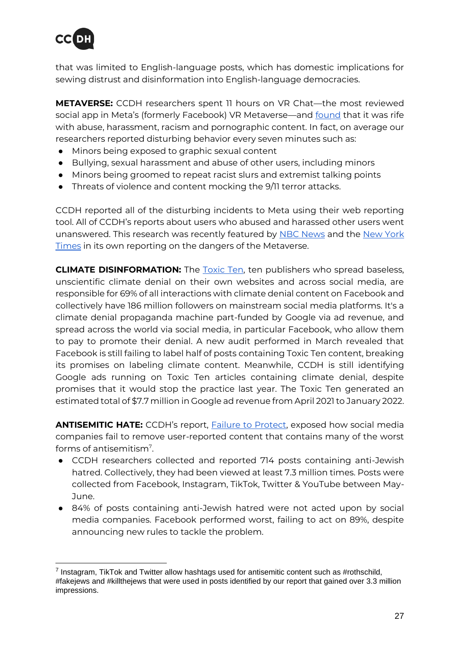

that was limited to English-language posts, which has domestic implications for sewing distrust and disinformation into English-language democracies.

**METAVERSE:** CCDH researchers spent 11 hours on VR Chat—the most reviewed social app in Meta's (formerly Facebook) VR Metaverse—and [found](https://www.counterhate.com/metaverse) that it was rife with abuse, harassment, racism and pornographic content. In fact, on average our researchers reported disturbing behavior every seven minutes such as:

- Minors being exposed to graphic sexual content
- Bullying, sexual harassment and abuse of other users, including minors
- Minors being groomed to repeat racist slurs and extremist talking points
- Threats of violence and content mocking the 9/11 terror attacks.

CCDH reported all of the disturbing incidents to Meta using their web reporting tool. All of CCDH's reports about users who abused and harassed other users went unanswered. This research was recently featured by [NBC News](https://www.nbcnews.com/now/video/metaverse-safety-a-concern-after-claims-of-sexual-harassment-132739141600) and the [New York](https://www.nytimes.com/2021/12/30/technology/metaverse-harassment-assaults.html)  [Times](https://www.nytimes.com/2021/12/30/technology/metaverse-harassment-assaults.html) in its own reporting on the dangers of the Metaverse.

**CLIMATE DISINFORMATION:** The [Toxic Ten,](https://www.counterhate.com/toxicten) ten publishers who spread baseless, unscientific climate denial on their own websites and across social media, are responsible for 69% of all interactions with climate denial content on Facebook and collectively have 186 million followers on mainstream social media platforms. It's a climate denial propaganda machine part-funded by Google via ad revenue, and spread across the world via social media, in particular Facebook, who allow them to pay to promote their denial. A new audit performed in March revealed that Facebook is still failing to label half of posts containing Toxic Ten content, breaking its promises on labeling climate content. Meanwhile, CCDH is still identifying Google ads running on Toxic Ten articles containing climate denial, despite promises that it would stop the practice last year. The Toxic Ten generated an estimated total of \$7.7 million in Google ad revenue from April 2021 to January 2022.

**ANTISEMITIC HATE:** CCDH's report, **Failure to Protect**, exposed how social media companies fail to remove user-reported content that contains many of the worst forms of antisemitism<sup>7</sup>.

- CCDH researchers collected and reported 714 posts containing anti-Jewish hatred. Collectively, they had been viewed at least 7.3 million times. Posts were collected from Facebook, Instagram, TikTok, Twitter & YouTube between May-June.
- 84% of posts containing anti-Jewish hatred were not acted upon by social media companies. Facebook performed worst, failing to act on 89%, despite announcing new rules to tackle the problem.

 $<sup>7</sup>$  Instagram, TikTok and Twitter allow hashtags used for antisemitic content such as #rothschild,</sup> #fakejews and #killthejews that were used in posts identified by our report that gained over 3.3 million impressions.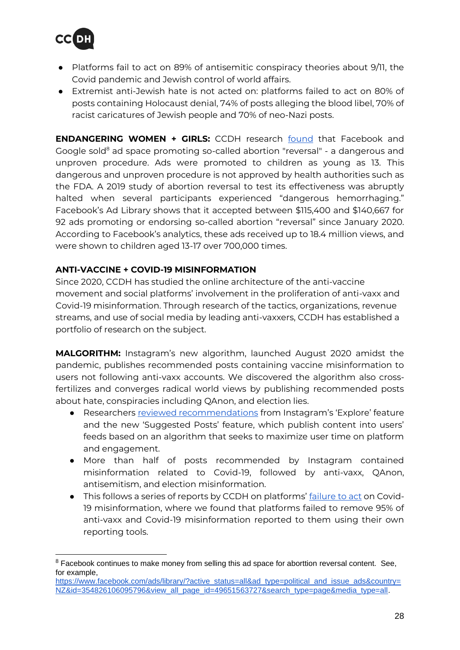

- Platforms fail to act on 89% of antisemitic conspiracy theories about 9/11, the Covid pandemic and Jewish control of world affairs.
- Extremist anti-Jewish hate is not acted on: platforms failed to act on 80% of posts containing Holocaust denial, 74% of posts alleging the blood libel, 70% of racist caricatures of Jewish people and 70% of neo-Nazi posts.

**ENDANGERING WOMEN + GIRLS:** CCDH research [found](https://www.counterhate.com/endangeringwomen) that Facebook and Google sold<sup>8</sup> ad space promoting so-called abortion "reversal" - a dangerous and unproven procedure. Ads were promoted to children as young as 13. This dangerous and unproven procedure is not approved by health authorities such as the FDA. A 2019 study of abortion reversal to test its effectiveness was abruptly halted when several participants experienced "dangerous hemorrhaging." Facebook's Ad Library shows that it accepted between \$115,400 and \$140,667 for 92 ads promoting or endorsing so-called abortion "reversal" since January 2020. According to Facebook's analytics, these ads received up to 18.4 million views, and were shown to children aged 13-17 over 700,000 times.

#### **ANTI-VACCINE + COVID-19 MISINFORMATION**

Since 2020, CCDH has studied the online architecture of the anti-vaccine movement and social platforms' involvement in the proliferation of anti-vaxx and Covid-19 misinformation. Through research of the tactics, organizations, revenue streams, and use of social media by leading anti-vaxxers, CCDH has established a portfolio of research on the subject.

**MALGORITHM:** Instagram's new algorithm, launched August 2020 amidst the pandemic, publishes recommended posts containing vaccine misinformation to users not following anti-vaxx accounts. We discovered the algorithm also crossfertilizes and converges radical world views by publishing recommended posts about hate, conspiracies including QAnon, and election lies.

- Researchers [reviewed recommendations](https://www.counterhate.com/malgorithm) from Instagram's 'Explore' feature and the new 'Suggested Posts' feature, which publish content into users' feeds based on an algorithm that seeks to maximize user time on platform and engagement.
- More than half of posts recommended by Instagram contained misinformation related to Covid-19, followed by anti-vaxx, QAnon, antisemitism, and election misinformation.
- This follows a series of reports by CCDH on platforms' [failure to act](https://www.counterhate.com/failure-to-act) on Covid-19 misinformation, where we found that platforms failed to remove 95% of anti-vaxx and Covid-19 misinformation reported to them using their own reporting tools.

 $8$  Facebook continues to make money from selling this ad space for aborttion reversal content. See, for example,

[https://www.facebook.com/ads/library/?active\\_status=all&ad\\_type=political\\_and\\_issue\\_ads&country=](https://www.facebook.com/ads/library/?active_status=all&ad_type=political_and_issue_ads&country=NZ&id=354826106095796&view_all_page_id=49651563727&search_type=page&media_type=all) [NZ&id=354826106095796&view\\_all\\_page\\_id=49651563727&search\\_type=page&media\\_type=all.](https://www.facebook.com/ads/library/?active_status=all&ad_type=political_and_issue_ads&country=NZ&id=354826106095796&view_all_page_id=49651563727&search_type=page&media_type=all)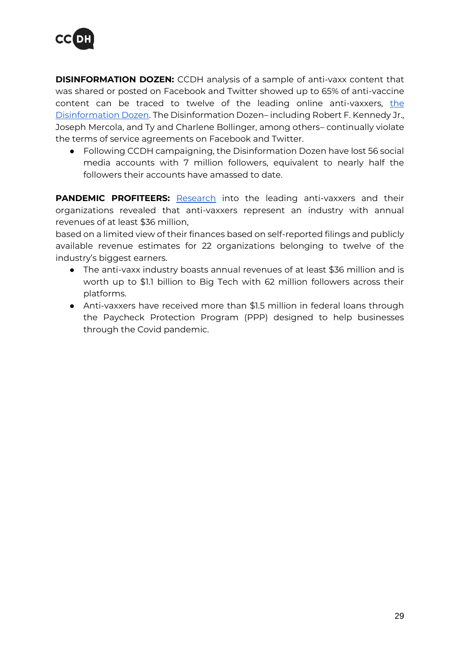

**DISINFORMATION DOZEN:** CCDH analysis of a sample of anti-vaxx content that was shared or posted on Facebook and Twitter showed up to 65% of anti-vaccine content can be traced to twelve of the leading online anti-vaxxers, [the](https://www.counterhate.com/disinformationdozen)  [Disinformation Dozen.](https://www.counterhate.com/disinformationdozen) The Disinformation Dozen– including Robert F. Kennedy Jr., Joseph Mercola, and Ty and Charlene Bollinger, among others– continually violate the terms of service agreements on Facebook and Twitter.

● Following CCDH campaigning, the Disinformation Dozen have lost 56 social media accounts with 7 million followers, equivalent to nearly half the followers their accounts have amassed to date.

**PANDEMIC PROFITEERS: [Research](https://www.counterhate.com/pandemicprofiteers)** into the leading anti-vaxxers and their organizations revealed that anti-vaxxers represent an industry with annual revenues of at least \$36 million,

based on a limited view of their finances based on self-reported filings and publicly available revenue estimates for 22 organizations belonging to twelve of the industry's biggest earners.

- The anti-vaxx industry boasts annual revenues of at least \$36 million and is worth up to \$1.1 billion to Big Tech with 62 million followers across their platforms.
- Anti-vaxxers have received more than \$1.5 million in federal loans through the Paycheck Protection Program (PPP) designed to help businesses through the Covid pandemic.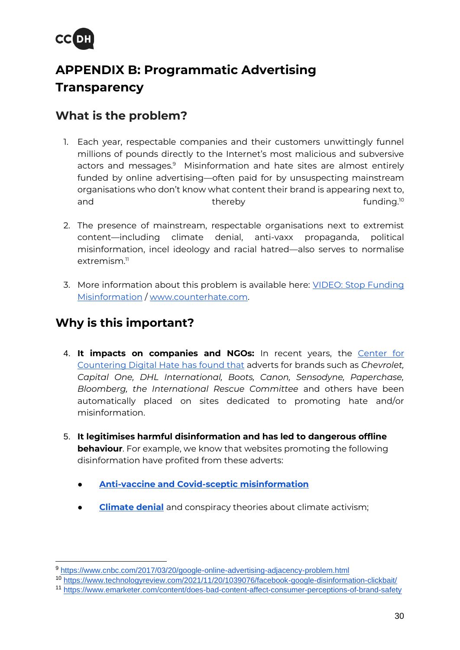

# **APPENDIX B: Programmatic Advertising Transparency**

# **What is the problem?**

- 1. Each year, respectable companies and their customers unwittingly funnel millions of pounds directly to the Internet's most malicious and subversive actors and messages.<sup>9</sup> Misinformation and hate sites are almost entirely funded by online advertising—often paid for by unsuspecting mainstream organisations who don't know what content their brand is appearing next to, and thereby thereby funding.<sup>10</sup>
- 2. The presence of mainstream, respectable organisations next to extremist content—including climate denial, anti-vaxx propaganda, political misinformation, incel ideology and racial hatred—also serves to normalise extremism.<sup>11</sup>
- 3. More information about this problem is available here: [VIDEO: Stop Funding](https://www.youtube.com/watch?v=AeBDoAczAhg)  [Misinformation](https://www.youtube.com/watch?v=AeBDoAczAhg) / [www.counterhate.com.](https://www.counterhate.com/)

# **Why is this important?**

- 4. **It impacts on companies and NGOs:** In recent years, the [Center for](https://twitter.com/CCDHate?ref_src=twsrc%5Egoogle%7Ctwcamp%5Eserp%7Ctwgr%5Eauthor)  [Countering Digital Hate has found that](https://twitter.com/CCDHate?ref_src=twsrc%5Egoogle%7Ctwcamp%5Eserp%7Ctwgr%5Eauthor) adverts for brands such as *Chevrolet, Capital One, DHL International, Boots, Canon, Sensodyne, Paperchase, Bloomberg, the International Rescue Committee* and others have been automatically placed on sites dedicated to promoting hate and/or misinformation.
- 5. **It legitimises harmful disinformation and has led to dangerous offline behaviour**. For example, we know that websites promoting the following disinformation have profited from these adverts:
	- **[Anti-vaccine and Covid-sceptic misinformation](https://twitter.com/SFMisinfo/status/1297904531259392000?s=20)**
	- **[Climate denial](https://www.counterhate.com/toxicten)** and conspiracy theories about climate activism;

<sup>9</sup> <https://www.cnbc.com/2017/03/20/google-online-advertising-adjacency-problem.html>

<sup>10</sup> <https://www.technologyreview.com/2021/11/20/1039076/facebook-google-disinformation-clickbait/>

<sup>11</sup> <https://www.emarketer.com/content/does-bad-content-affect-consumer-perceptions-of-brand-safety>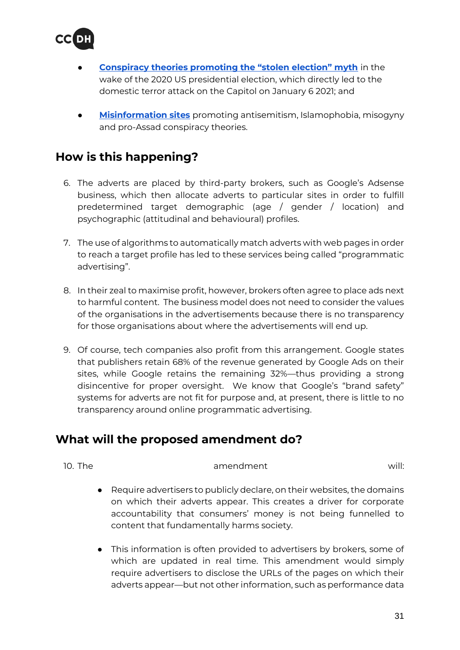

- **[Conspiracy theories promoting the "stolen election" myth](https://www.counterhate.com/post/gatewaypundit)** in the wake of the 2020 US presidential election, which directly led to the domestic terror attack on the Capitol on January 6 2021; and
- **[Misinformation sites](https://www.stopfundingmisinformation.com/the-briefing)** promoting antisemitism, Islamophobia, misogyny and pro-Assad conspiracy theories.

# **How is this happening?**

- 6. The adverts are placed by third-party brokers, such as Google's Adsense business, which then allocate adverts to particular sites in order to fulfill predetermined target demographic (age / gender / location) and psychographic (attitudinal and behavioural) profiles.
- 7. The use of algorithms to automatically match adverts with web pages in order to reach a target profile has led to these services being called "programmatic advertising".
- 8. In their zeal to maximise profit, however, brokers often agree to place ads next to harmful content. The business model does not need to consider the values of the organisations in the advertisements because there is no transparency for those organisations about where the advertisements will end up.
- 9. Of course, tech companies also profit from this arrangement. Google states that publishers retain 68% of the revenue generated by Google Ads on their sites, while Google retains the remaining 32%—thus providing a strong disincentive for proper oversight. We know that Google's "brand safety" systems for adverts are not fit for purpose and, at present, there is little to no transparency around online programmatic advertising.

# **What will the proposed amendment do?**

10. The amendment will:

- Require advertisers to publicly declare, on their websites, the domains on which their adverts appear. This creates a driver for corporate accountability that consumers' money is not being funnelled to content that fundamentally harms society.
- This information is often provided to advertisers by brokers, some of which are updated in real time. This amendment would simply require advertisers to disclose the URLs of the pages on which their adverts appear—but not other information, such as performance data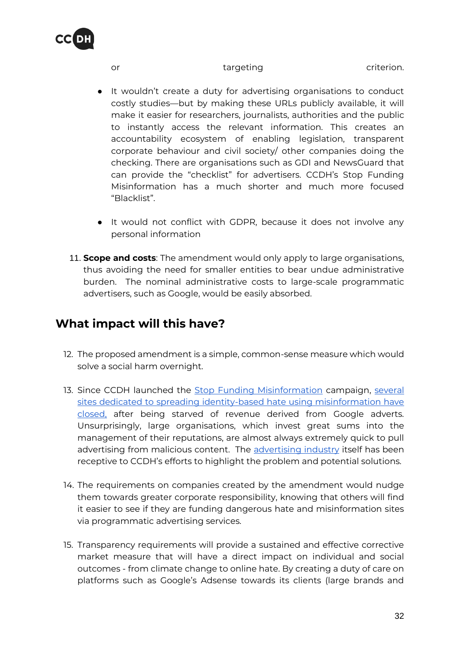

or targeting criterion.

- It wouldn't create a duty for advertising organisations to conduct costly studies—but by making these URLs publicly available, it will make it easier for researchers, journalists, authorities and the public to instantly access the relevant information. This creates an accountability ecosystem of enabling legislation, transparent corporate behaviour and civil society/ other companies doing the checking. There are organisations such as GDI and NewsGuard that can provide the "checklist" for advertisers. CCDH's Stop Funding Misinformation has a much shorter and much more focused "Blacklist".
- It would not conflict with GDPR, because it does not involve any personal information
- 11. **Scope and costs**: The amendment would only apply to large organisations, thus avoiding the need for smaller entities to bear undue administrative burden. The nominal administrative costs to large-scale programmatic advertisers, such as Google, would be easily absorbed.

# **What impact will this have?**

- 12. The proposed amendment is a simple, common-sense measure which would solve a social harm overnight.
- 13. Since CCDH launched the [Stop Funding Misinformation](https://www.stopfundingmisinformation.com/) campaign, several [sites dedicated to spreading identity-based hate using misinformation have](https://www.stopfundingmisinformation.com/successes)  [closed,](https://www.stopfundingmisinformation.com/successes) after being starved of revenue derived from Google adverts. Unsurprisingly, large organisations, which invest great sums into the management of their reputations, are almost always extremely quick to pull advertising from malicious content. The [advertising industry](https://www.adweek.com/brand-marketing/a-call-for-caring-about-online-safety-from-the-center-for-countering-digital-hate/) itself has been receptive to CCDH's efforts to highlight the problem and potential solutions.
- 14. The requirements on companies created by the amendment would nudge them towards greater corporate responsibility, knowing that others will find it easier to see if they are funding dangerous hate and misinformation sites via programmatic advertising services.
- 15. Transparency requirements will provide a sustained and effective corrective market measure that will have a direct impact on individual and social outcomes - from climate change to online hate. By creating a duty of care on platforms such as Google's Adsense towards its clients (large brands and